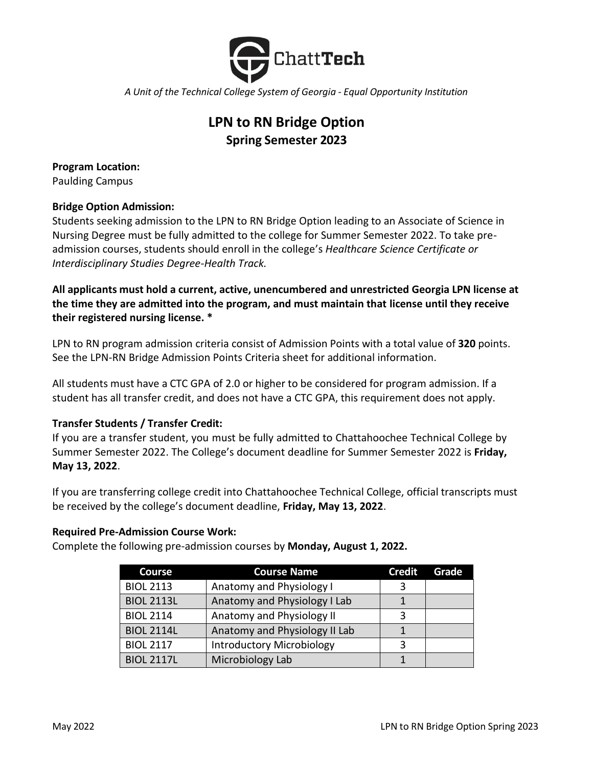

*A Unit of the Technical College System of Georgia - Equal Opportunity Institution*

# **LPN to RN Bridge Option Spring Semester 2023**

**Program Location:** Paulding Campus

# **Bridge Option Admission:**

Students seeking admission to the LPN to RN Bridge Option leading to an Associate of Science in Nursing Degree must be fully admitted to the college for Summer Semester 2022. To take preadmission courses, students should enroll in the college's *Healthcare Science Certificate or Interdisciplinary Studies Degree-Health Track.*

**All applicants must hold a current, active, unencumbered and unrestricted Georgia LPN license at the time they are admitted into the program, and must maintain that license until they receive their registered nursing license. \***

LPN to RN program admission criteria consist of Admission Points with a total value of **320** points. See the LPN-RN Bridge Admission Points Criteria sheet for additional information.

All students must have a CTC GPA of 2.0 or higher to be considered for program admission. If a student has all transfer credit, and does not have a CTC GPA, this requirement does not apply.

# **Transfer Students / Transfer Credit:**

If you are a transfer student, you must be fully admitted to Chattahoochee Technical College by Summer Semester 2022. The College's document deadline for Summer Semester 2022 is **Friday, May 13, 2022**.

If you are transferring college credit into Chattahoochee Technical College, official transcripts must be received by the college's document deadline, **Friday, May 13, 2022**.

# **Required Pre-Admission Course Work:**

Complete the following pre-admission courses by **Monday, August 1, 2022.**

| <b>Course</b>     | <b>Course Name</b>               | <b>Credit</b> | Grade |
|-------------------|----------------------------------|---------------|-------|
| <b>BIOL 2113</b>  | Anatomy and Physiology I         |               |       |
| <b>BIOL 2113L</b> | Anatomy and Physiology I Lab     |               |       |
| <b>BIOL 2114</b>  | Anatomy and Physiology II        |               |       |
| <b>BIOL 2114L</b> | Anatomy and Physiology II Lab    |               |       |
| <b>BIOL 2117</b>  | <b>Introductory Microbiology</b> | ₹             |       |
| <b>BIOL 2117L</b> | Microbiology Lab                 |               |       |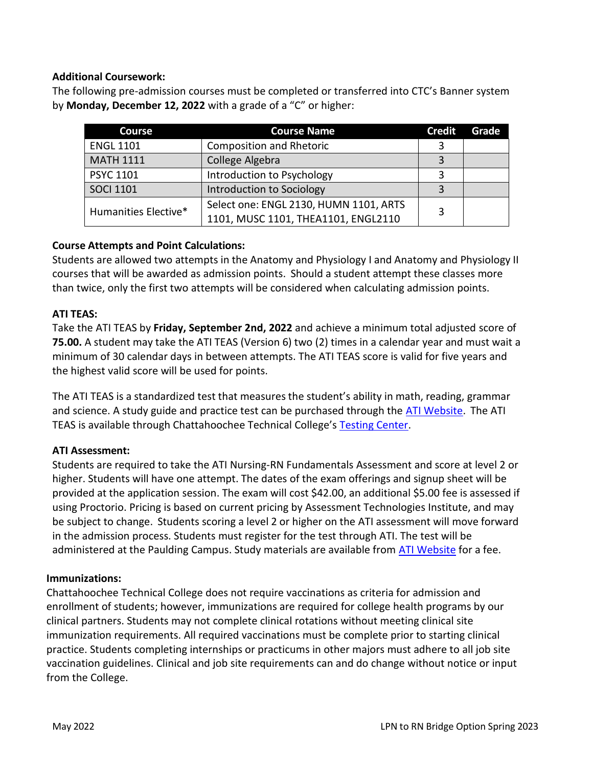### **Additional Coursework:**

The following pre-admission courses must be completed or transferred into CTC's Banner system by **Monday, December 12, 2022** with a grade of a "C" or higher:

| <b>Course</b>        | <b>Course Name</b>                     | <b>Credit</b> | Grade |
|----------------------|----------------------------------------|---------------|-------|
| <b>ENGL 1101</b>     | <b>Composition and Rhetoric</b>        |               |       |
| <b>MATH 1111</b>     | College Algebra                        | 3             |       |
| <b>PSYC 1101</b>     | Introduction to Psychology             |               |       |
| <b>SOCI 1101</b>     | Introduction to Sociology              | 3             |       |
| Humanities Elective* | Select one: ENGL 2130, HUMN 1101, ARTS | 3             |       |
|                      | 1101, MUSC 1101, THEA1101, ENGL2110    |               |       |

# **Course Attempts and Point Calculations:**

Students are allowed two attempts in the Anatomy and Physiology I and Anatomy and Physiology II courses that will be awarded as admission points. Should a student attempt these classes more than twice, only the first two attempts will be considered when calculating admission points.

# **ATI TEAS:**

Take the ATI TEAS by **Friday, September 2nd, 2022** and achieve a minimum total adjusted score of **75.00.** A student may take the ATI TEAS (Version 6) two (2) times in a calendar year and must wait a minimum of 30 calendar days in between attempts. The ATI TEAS score is valid for five years and the highest valid score will be used for points.

The ATI TEAS is a standardized test that measures the student's ability in math, reading, grammar and science. A study guide and practice test can be purchased through the [ATI Website.](http://www.atitesting.com/) The ATI TEAS is available through Chattahoochee Technical College's [Testing Center.](https://www.chattahoocheetech.edu/testing-center/)

#### **ATI Assessment:**

Students are required to take the ATI Nursing-RN Fundamentals Assessment and score at level 2 or higher. Students will have one attempt. The dates of the exam offerings and signup sheet will be provided at the application session. The exam will cost \$42.00, an additional \$5.00 fee is assessed if using Proctorio. Pricing is based on current pricing by Assessment Technologies Institute, and may be subject to change. Students scoring a level 2 or higher on the ATI assessment will move forward in the admission process. Students must register for the test through ATI. The test will be administered at the Paulding Campus. Study materials are available from [ATI Website](http://www.atitesting.com/) for a fee.

#### **Immunizations:**

Chattahoochee Technical College does not require vaccinations as criteria for admission and enrollment of students; however, immunizations are required for college health programs by our clinical partners. Students may not complete clinical rotations without meeting clinical site immunization requirements. All required vaccinations must be complete prior to starting clinical practice. Students completing internships or practicums in other majors must adhere to all job site vaccination guidelines. Clinical and job site requirements can and do change without notice or input from the College.